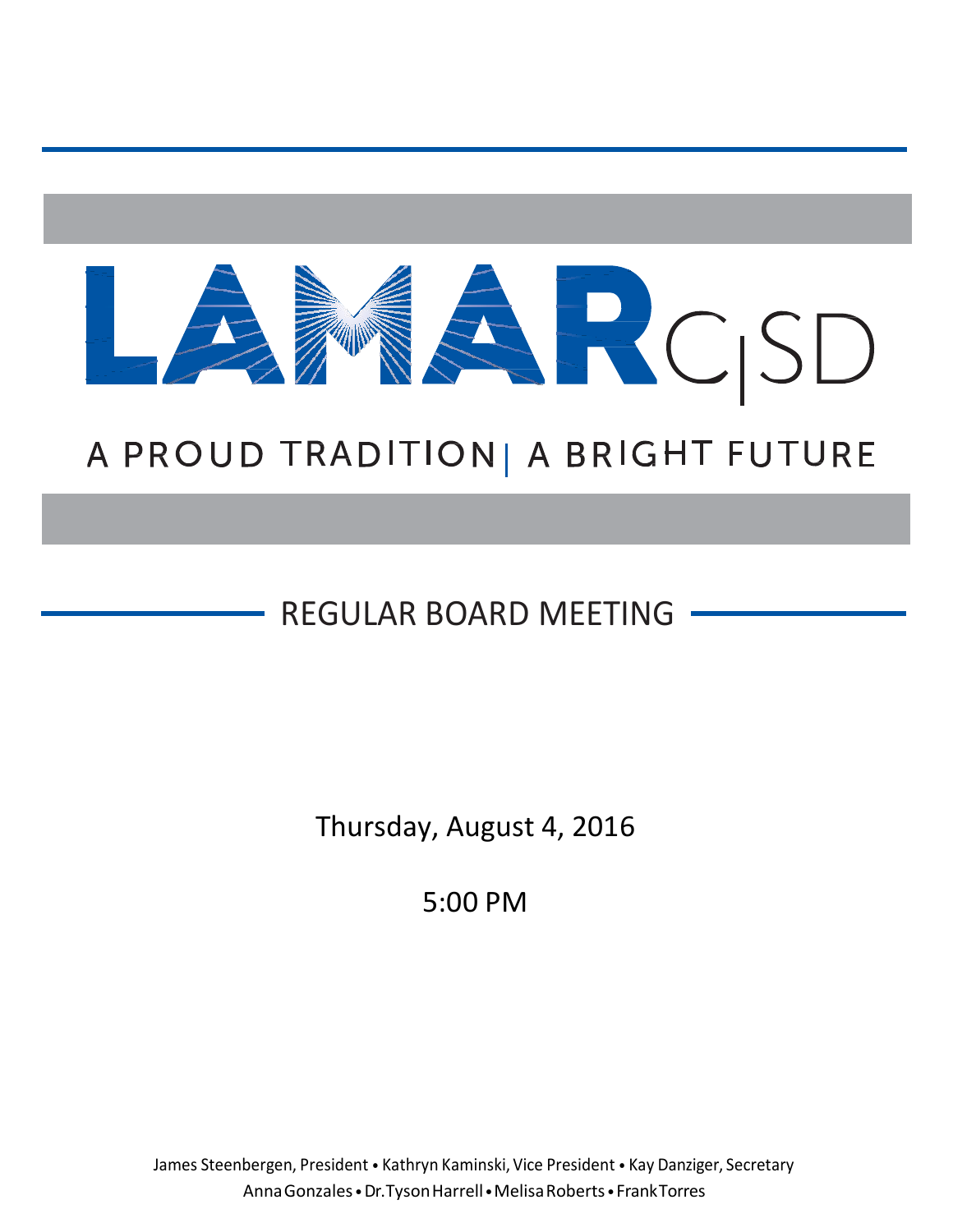

# A PROUD TRADITION | A BRIGHT FUTURE

## REGULAR BOARD MEETING

Thursday, August 4, 2016

5:00 PM

James Steenbergen, President • Kathryn Kaminski, Vice President • Kay Danziger, Secretary AnnaGonzales •Dr.TysonHarrell•MelisaRoberts•FrankTorres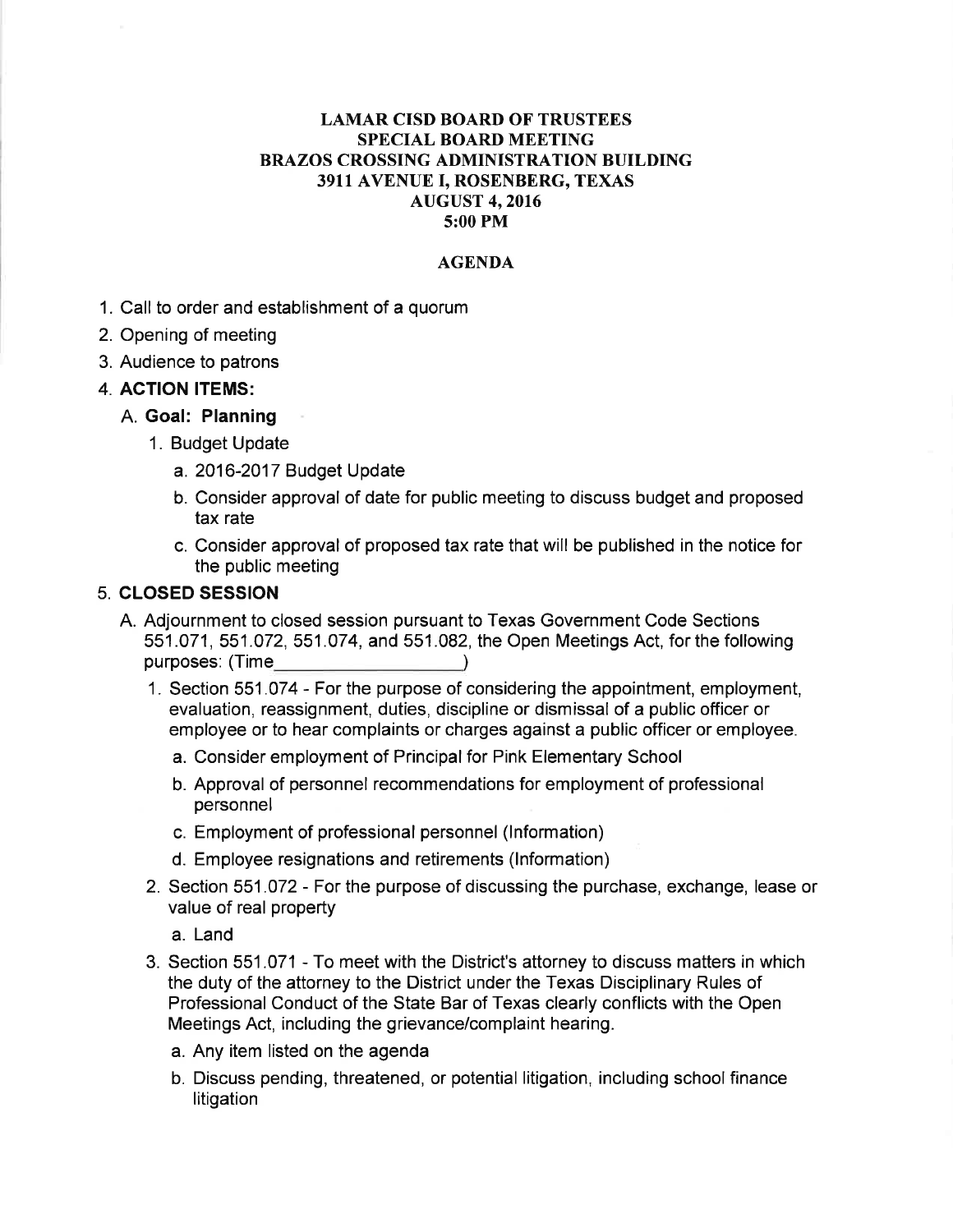#### **LAMAR CISD BOARD OF TRUSTEES SPECIAL BOARD MEETING BRAZOS CROSSING ADMINISTRATION BUILDING** 3911 AVENUE I, ROSENBERG, TEXAS **AUGUST 4, 2016** 5:00 PM

#### **AGENDA**

- 1. Call to order and establishment of a quorum
- 2. Opening of meeting
- 3. Audience to patrons
- **4. ACTION ITEMS:**

#### A. Goal: Planning

- 1. Budget Update
	- a. 2016-2017 Budget Update
	- b. Consider approval of date for public meeting to discuss budget and proposed tax rate
	- c. Consider approval of proposed tax rate that will be published in the notice for the public meeting

#### **5. CLOSED SESSION**

- A. Adjournment to closed session pursuant to Texas Government Code Sections 551.071, 551.072, 551.074, and 551.082, the Open Meetings Act, for the following purposes: (Time and the control of the control of the control of the control of the control of the control of the control of the control of the control of the control of the control of the control of the control of the con  $\rightarrow$ 
	- 1. Section 551.074 For the purpose of considering the appointment, employment, evaluation, reassignment, duties, discipline or dismissal of a public officer or employee or to hear complaints or charges against a public officer or employee.
		- a. Consider employment of Principal for Pink Elementary School
		- b. Approval of personnel recommendations for employment of professional personnel
		- c. Employment of professional personnel (Information)
		- d. Employee resignations and retirements (Information)
	- 2. Section 551.072 For the purpose of discussing the purchase, exchange, lease or value of real property
		- a. Land
	- 3. Section 551.071 To meet with the District's attorney to discuss matters in which the duty of the attorney to the District under the Texas Disciplinary Rules of Professional Conduct of the State Bar of Texas clearly conflicts with the Open Meetings Act, including the grievance/complaint hearing.
		- a. Any item listed on the agenda
		- b. Discuss pending, threatened, or potential litigation, including school finance litigation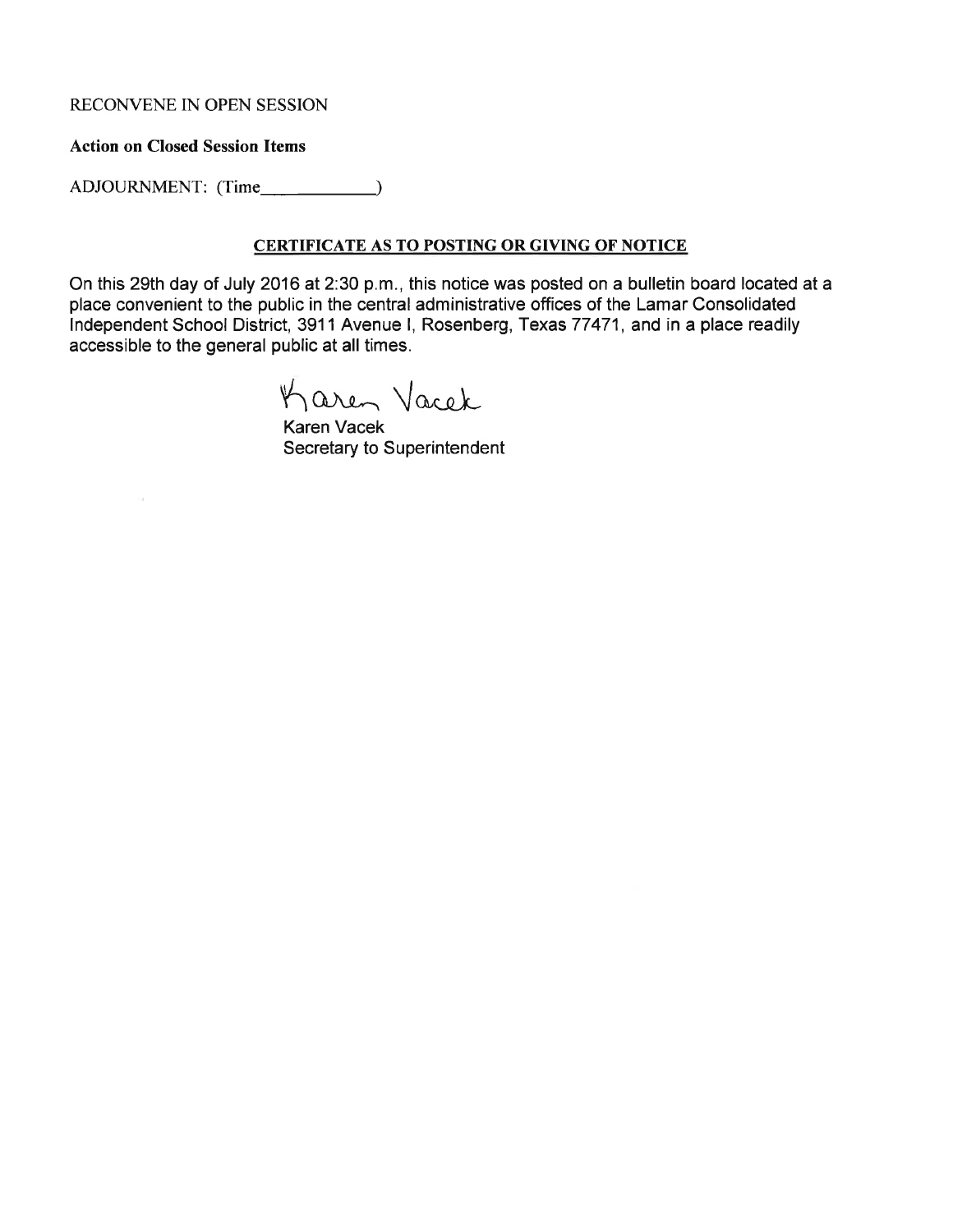#### RECONVENE IN OPEN SESSION

#### **Action on Closed Session Items**

ADJOURNMENT: (Time\_\_\_\_\_\_\_\_\_\_\_\_\_)

#### **CERTIFICATE AS TO POSTING OR GIVING OF NOTICE**

On this 29th day of July 2016 at 2:30 p.m., this notice was posted on a bulletin board located at a place convenient to the public in the central administrative offices of the Lamar Consolidated Independent School District, 3911 Avenue I, Rosenberg, Texas 77471, and in a place readily accessible to the general public at all times.

Karen Vacek

Karen Vacek Secretary to Superintendent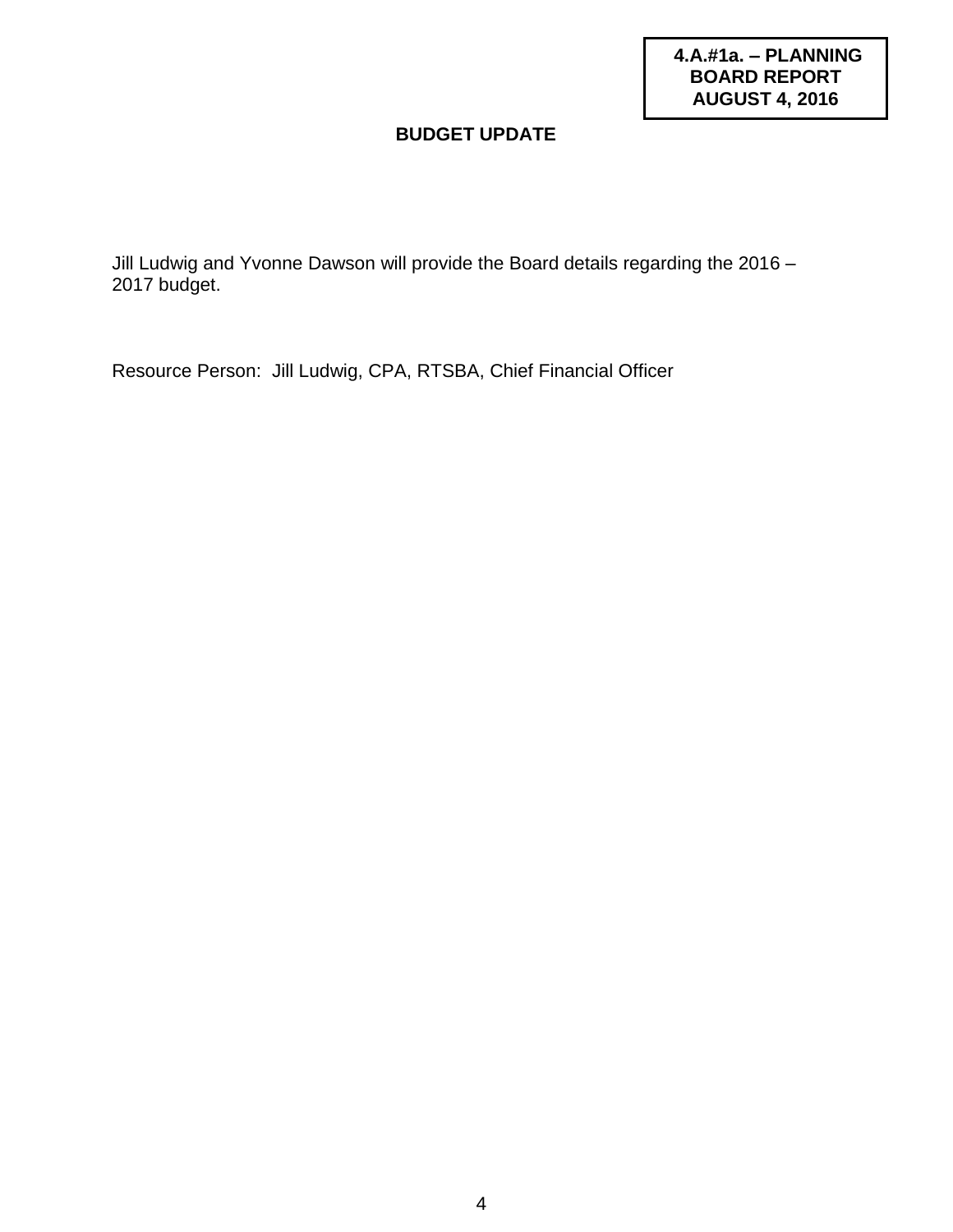**4.A.#1a. – PLANNING BOARD REPORT AUGUST 4, 2016**

## **BUDGET UPDATE**

Jill Ludwig and Yvonne Dawson will provide the Board details regarding the 2016 – 2017 budget.

Resource Person: Jill Ludwig, CPA, RTSBA, Chief Financial Officer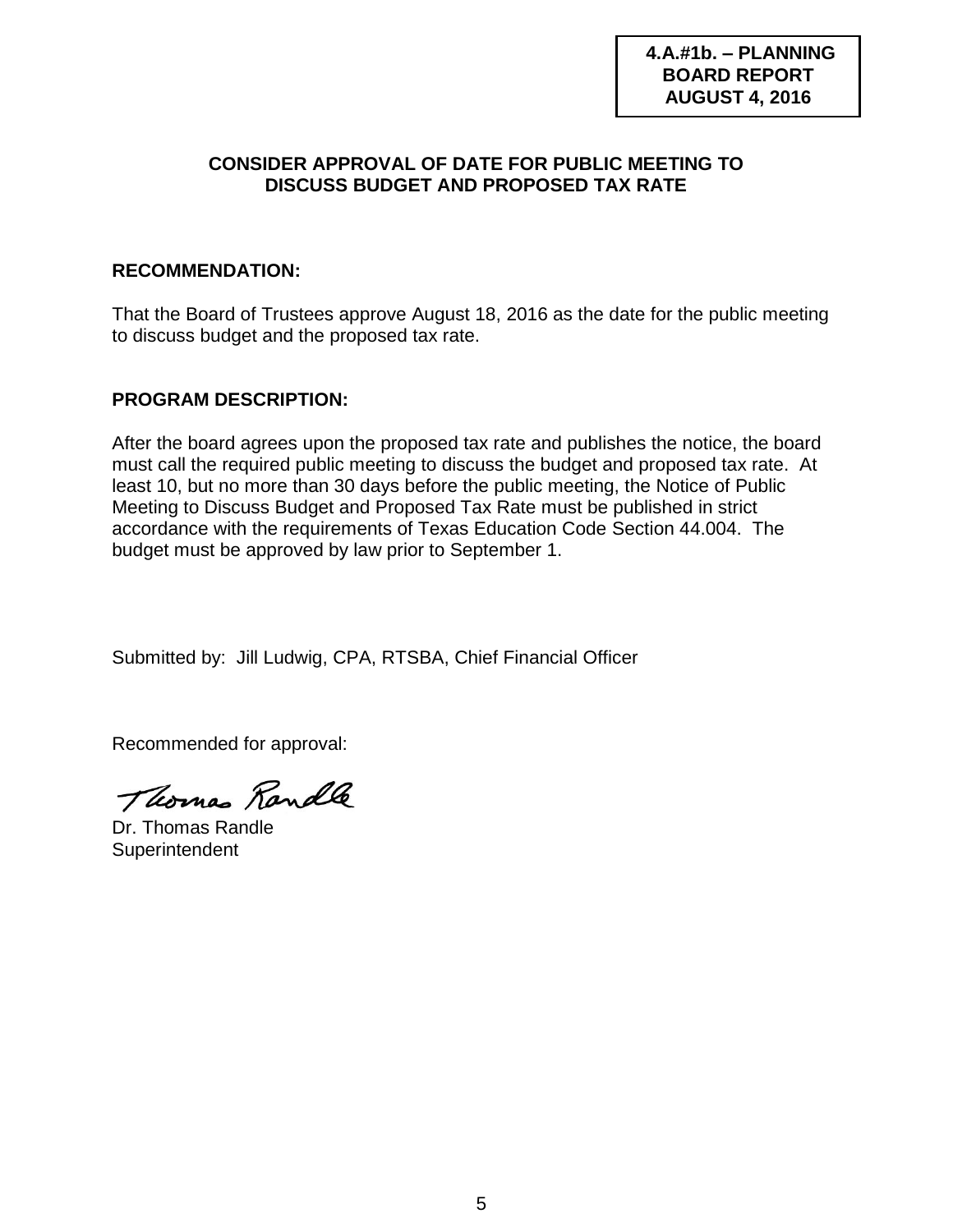**4.A.#1b. – PLANNING BOARD REPORT AUGUST 4, 2016**

## **CONSIDER APPROVAL OF DATE FOR PUBLIC MEETING TO DISCUSS BUDGET AND PROPOSED TAX RATE**

## **RECOMMENDATION:**

That the Board of Trustees approve August 18, 2016 as the date for the public meeting to discuss budget and the proposed tax rate.

## **PROGRAM DESCRIPTION:**

After the board agrees upon the proposed tax rate and publishes the notice, the board must call the required public meeting to discuss the budget and proposed tax rate. At least 10, but no more than 30 days before the public meeting, the Notice of Public Meeting to Discuss Budget and Proposed Tax Rate must be published in strict accordance with the requirements of Texas Education Code Section 44.004. The budget must be approved by law prior to September 1.

Submitted by: Jill Ludwig, CPA, RTSBA, Chief Financial Officer

Recommended for approval:

Thomas Randle

Dr. Thomas Randle **Superintendent**